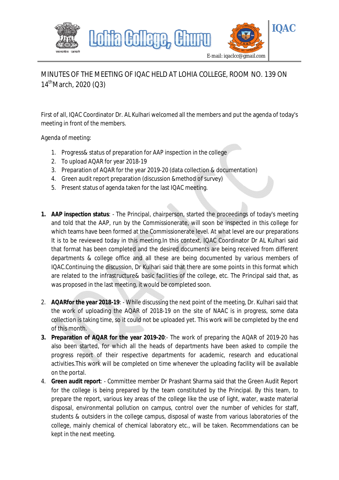

## MINUTES OF THE MEETING OF IQAC HELD AT LOHIA COLLEGE, ROOM NO. 139 ON  $14^{\text{th}}$ March, 2020 (Q3)

First of all, IQAC Coordinator Dr. AL Kulhari welcomed all the members and put the agenda of today's meeting in front of the members.

Agenda of meeting:

- 1. Progress& status of preparation for AAP inspection in the college
- 2. To upload AQAR for year 2018-19
- 3. Preparation of AQAR for the year 2019-20 (data collection & documentation)
- 4. Green audit report preparation (discussion &method of survey)
- 5. Present status of agenda taken for the last IQAC meeting.
- **1. AAP inspection status**: The Principal, chairperson, started the proceedings of today's meeting and told that the AAP, run by the Commissionerate, will soon be inspected in this college for which teams have been formed at the Commissionerate level. At what level are our preparations It is to be reviewed today in this meeting.In this context, IQAC Coordinator Dr AL Kulhari said that format has been completed and the desired documents are being received from different departments & college office and all these are being documented by various members of IQAC.Continuing the discussion, Dr Kulhari said that there are some points in this format which are related to the infrastructure& basic facilities of the college, etc. The Principal said that, as was proposed in the last meeting, it would be completed soon.
- 2. **AQARfor the year 2018-19**: While discussing the next point of the meeting, Dr. Kulhari said that the work of uploading the AQAR of 2018-19 on the site of NAAC is in progress, some data collection is taking time, so it could not be uploaded yet. This work will be completed by the end of this month.
- **3. Preparation of AQAR for the year 2019-20**:- The work of preparing the AQAR of 2019-20 has also been started, for which all the heads of departments have been asked to compile the progress report of their respective departments for academic, research and educational activities.This work will be completed on time whenever the uploading facility will be available on the portal.
- 4. **Green audit report**: Committee member Dr Prashant Sharma said that the Green Audit Report for the college is being prepared by the team constituted by the Principal. By this team, to prepare the report, various key areas of the college like the use of light, water, waste material disposal, environmental pollution on campus, control over the number of vehicles for staff, students & outsiders in the college campus, disposal of waste from various laboratories of the college, mainly chemical of chemical laboratory etc., will be taken. Recommendations can be kept in the next meeting.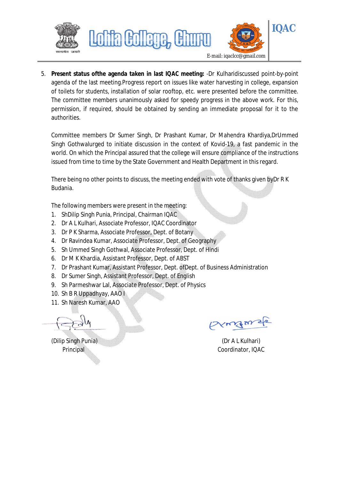



5. **Present status ofthe agenda taken in last IQAC meeting:** -Dr Kulharidiscussed point-by-point agenda of the last meeting.Progress report on issues like water harvesting in college, expansion of toilets for students, installation of solar rooftop, etc. were presented before the committee. The committee members unanimously asked for speedy progress in the above work. For this, permission, if required, should be obtained by sending an immediate proposal for it to the authorities.

Committee members Dr Sumer Singh, Dr Prashant Kumar, Dr Mahendra Khardiya,DrUmmed Singh Gothwalurged to initiate discussion in the context of Kovid-19, a fast pandemic in the world. On which the Principal assured that the college will ensure compliance of the instructions issued from time to time by the State Government and Health Department in this regard.

There being no other points to discuss, the meeting ended with vote of thanks given byDr R K Budania.

The following members were present in the meeting:

- 1. ShDilip Singh Punia, Principal, Chairman IQAC
- 2. Dr A L Kulhari, Associate Professor, IQAC Coordinator

Lohia Gollege,

- 3. Dr P K Sharma, Associate Professor, Dept. of Botany
- 4. Dr Ravindea Kumar, Associate Professor, Dept. of Geography
- 5. Sh Ummed Singh Gothwal, Associate Professor, Dept. of Hindi
- 6. Dr M K Khardia, Assistant Professor, Dept. of ABST
- 7. Dr Prashant Kumar, Assistant Professor, Dept. ofDept. of Business Administration
- 8. Dr Sumer Singh, Assistant Professor, Dept. of English
- 9. Sh Parmeshwar Lal, Associate Professor, Dept. of Physics
- 10. Sh B R Uppadhyay, AAO I
- 11. Sh Naresh Kumar, AAO

Exingense

Principal Coordinator, IQAC

(Dilip Singh Punia) (Dr A L Kulhari)